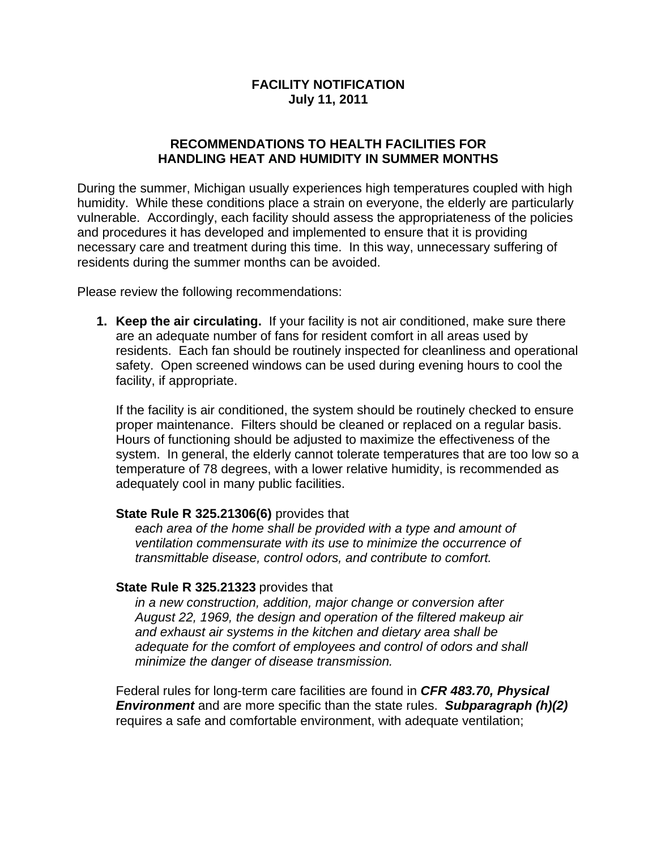# **FACILITY NOTIFICATION July 11, 2011**

## **RECOMMENDATIONS TO HEALTH FACILITIES FOR HANDLING HEAT AND HUMIDITY IN SUMMER MONTHS**

During the summer, Michigan usually experiences high temperatures coupled with high humidity. While these conditions place a strain on everyone, the elderly are particularly vulnerable. Accordingly, each facility should assess the appropriateness of the policies and procedures it has developed and implemented to ensure that it is providing necessary care and treatment during this time. In this way, unnecessary suffering of residents during the summer months can be avoided.

Please review the following recommendations:

**1. Keep the air circulating.** If your facility is not air conditioned, make sure there are an adequate number of fans for resident comfort in all areas used by residents. Each fan should be routinely inspected for cleanliness and operational safety. Open screened windows can be used during evening hours to cool the facility, if appropriate.

If the facility is air conditioned, the system should be routinely checked to ensure proper maintenance. Filters should be cleaned or replaced on a regular basis. Hours of functioning should be adjusted to maximize the effectiveness of the system. In general, the elderly cannot tolerate temperatures that are too low so a temperature of 78 degrees, with a lower relative humidity, is recommended as adequately cool in many public facilities.

#### **State Rule R 325.21306(6)** provides that

*each area of the home shall be provided with a type and amount of ventilation commensurate with its use to minimize the occurrence of transmittable disease, control odors, and contribute to comfort.* 

## **State Rule R 325.21323** provides that

*in a new construction, addition, major change or conversion after August 22, 1969, the design and operation of the filtered makeup air and exhaust air systems in the kitchen and dietary area shall be adequate for the comfort of employees and control of odors and shall minimize the danger of disease transmission.*

Federal rules for long-term care facilities are found in *CFR 483.70, Physical Environment* and are more specific than the state rules. *Subparagraph (h)(2)* requires a safe and comfortable environment, with adequate ventilation;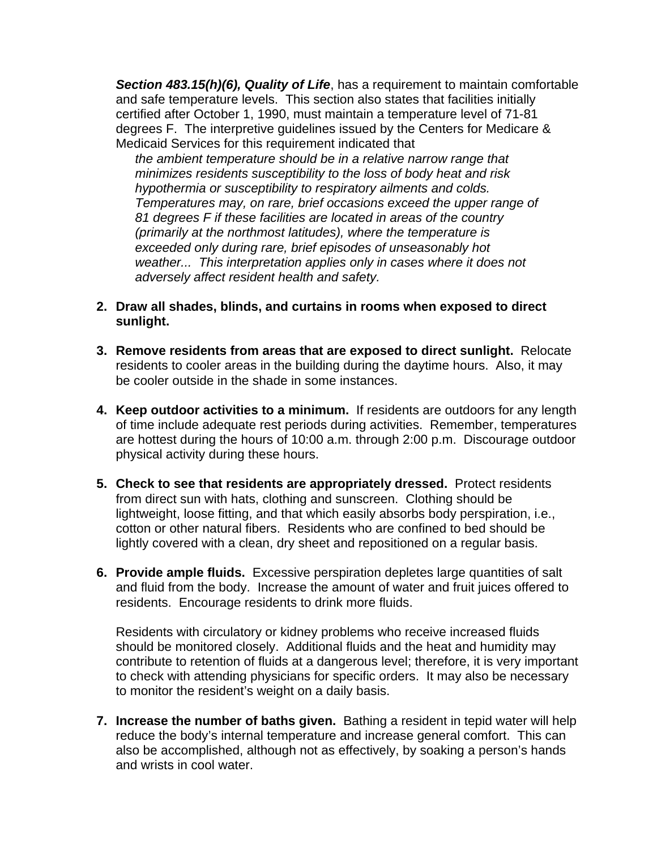*Section 483.15(h)(6), Quality of Life*, has a requirement to maintain comfortable and safe temperature levels. This section also states that facilities initially certified after October 1, 1990, must maintain a temperature level of 71-81 degrees F. The interpretive guidelines issued by the Centers for Medicare & Medicaid Services for this requirement indicated that

*the ambient temperature should be in a relative narrow range that minimizes residents susceptibility to the loss of body heat and risk hypothermia or susceptibility to respiratory ailments and colds. Temperatures may, on rare, brief occasions exceed the upper range of 81 degrees F if these facilities are located in areas of the country (primarily at the northmost latitudes), where the temperature is exceeded only during rare, brief episodes of unseasonably hot weather... This interpretation applies only in cases where it does not adversely affect resident health and safety.*

- **2. Draw all shades, blinds, and curtains in rooms when exposed to direct sunlight.**
- **3. Remove residents from areas that are exposed to direct sunlight.** Relocate residents to cooler areas in the building during the daytime hours. Also, it may be cooler outside in the shade in some instances.
- **4. Keep outdoor activities to a minimum.** If residents are outdoors for any length of time include adequate rest periods during activities. Remember, temperatures are hottest during the hours of 10:00 a.m. through 2:00 p.m. Discourage outdoor physical activity during these hours.
- **5. Check to see that residents are appropriately dressed.** Protect residents from direct sun with hats, clothing and sunscreen. Clothing should be lightweight, loose fitting, and that which easily absorbs body perspiration, i.e., cotton or other natural fibers. Residents who are confined to bed should be lightly covered with a clean, dry sheet and repositioned on a regular basis.
- **6. Provide ample fluids.** Excessive perspiration depletes large quantities of salt and fluid from the body. Increase the amount of water and fruit juices offered to residents. Encourage residents to drink more fluids.

Residents with circulatory or kidney problems who receive increased fluids should be monitored closely. Additional fluids and the heat and humidity may contribute to retention of fluids at a dangerous level; therefore, it is very important to check with attending physicians for specific orders. It may also be necessary to monitor the resident's weight on a daily basis.

**7. Increase the number of baths given.** Bathing a resident in tepid water will help reduce the body's internal temperature and increase general comfort. This can also be accomplished, although not as effectively, by soaking a person's hands and wrists in cool water.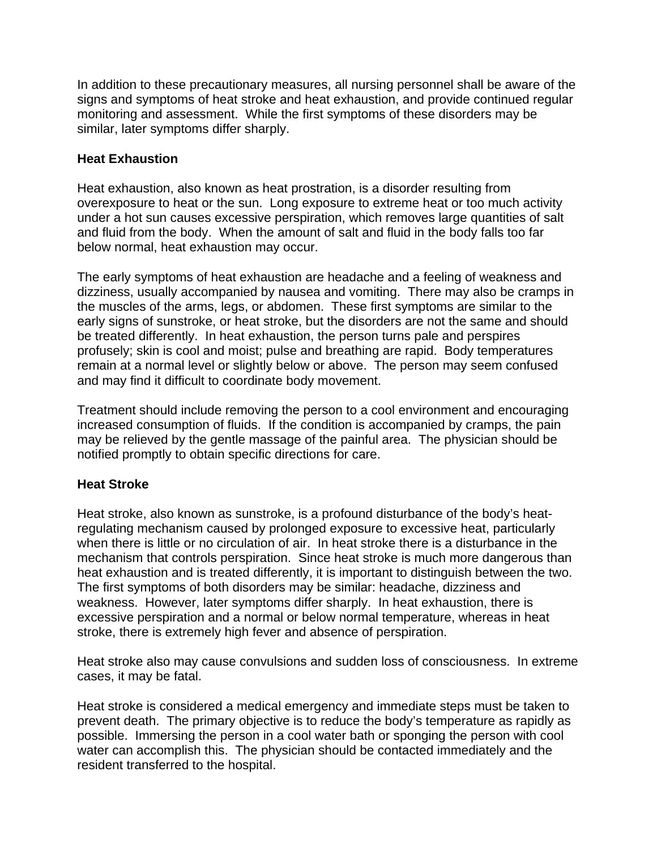In addition to these precautionary measures, all nursing personnel shall be aware of the signs and symptoms of heat stroke and heat exhaustion, and provide continued regular monitoring and assessment. While the first symptoms of these disorders may be similar, later symptoms differ sharply.

## **Heat Exhaustion**

Heat exhaustion, also known as heat prostration, is a disorder resulting from overexposure to heat or the sun. Long exposure to extreme heat or too much activity under a hot sun causes excessive perspiration, which removes large quantities of salt and fluid from the body. When the amount of salt and fluid in the body falls too far below normal, heat exhaustion may occur.

The early symptoms of heat exhaustion are headache and a feeling of weakness and dizziness, usually accompanied by nausea and vomiting. There may also be cramps in the muscles of the arms, legs, or abdomen. These first symptoms are similar to the early signs of sunstroke, or heat stroke, but the disorders are not the same and should be treated differently. In heat exhaustion, the person turns pale and perspires profusely; skin is cool and moist; pulse and breathing are rapid. Body temperatures remain at a normal level or slightly below or above. The person may seem confused and may find it difficult to coordinate body movement.

Treatment should include removing the person to a cool environment and encouraging increased consumption of fluids. If the condition is accompanied by cramps, the pain may be relieved by the gentle massage of the painful area. The physician should be notified promptly to obtain specific directions for care.

## **Heat Stroke**

Heat stroke, also known as sunstroke, is a profound disturbance of the body's heatregulating mechanism caused by prolonged exposure to excessive heat, particularly when there is little or no circulation of air. In heat stroke there is a disturbance in the mechanism that controls perspiration. Since heat stroke is much more dangerous than heat exhaustion and is treated differently, it is important to distinguish between the two. The first symptoms of both disorders may be similar: headache, dizziness and weakness. However, later symptoms differ sharply. In heat exhaustion, there is excessive perspiration and a normal or below normal temperature, whereas in heat stroke, there is extremely high fever and absence of perspiration.

Heat stroke also may cause convulsions and sudden loss of consciousness. In extreme cases, it may be fatal.

Heat stroke is considered a medical emergency and immediate steps must be taken to prevent death. The primary objective is to reduce the body's temperature as rapidly as possible. Immersing the person in a cool water bath or sponging the person with cool water can accomplish this. The physician should be contacted immediately and the resident transferred to the hospital.